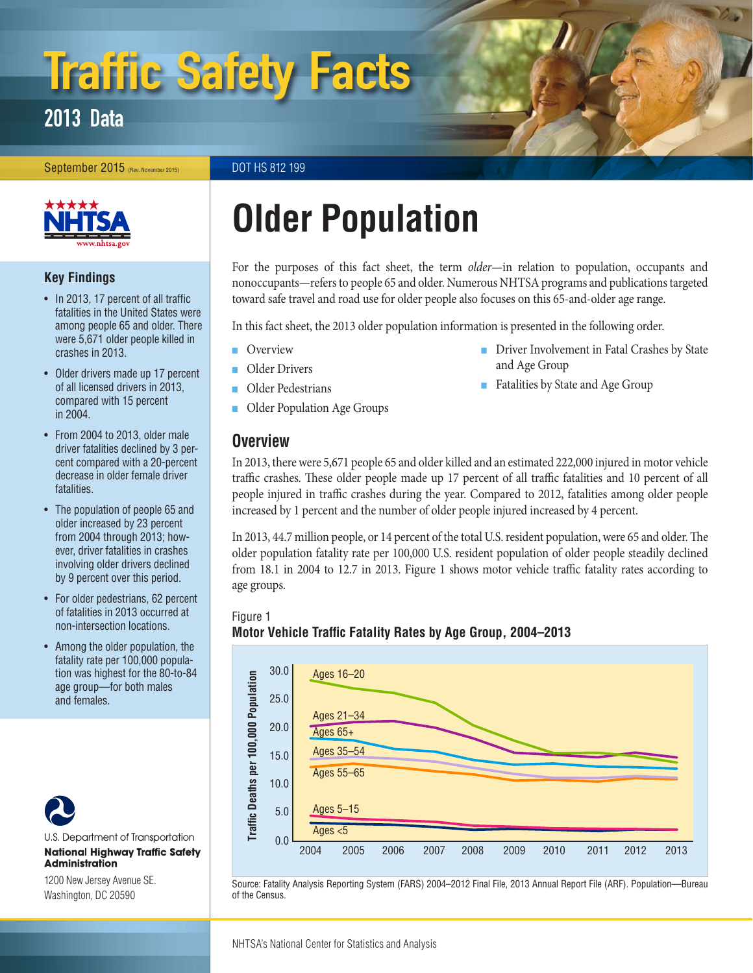# Traffic Safety Facts

### 2013 Data

September 2015 (Rev. November 2015) DOT HS 812 199



#### **Key Findings**

- In 2013, 17 percent of all traffic fatalities in the United States were among people 65 and older. There were 5,671 older people killed in crashes in 2013.
- Older drivers made up 17 percent of all licensed drivers in 2013, compared with 15 percent in 2004.
- From 2004 to 2013, older male driver fatalities declined by 3 percent compared with a 20-percent decrease in older female driver fatalities.
- The population of people 65 and older increased by 23 percent from 2004 through 2013; however, driver fatalities in crashes involving older drivers declined by 9 percent over this period.
- For older pedestrians, 62 percent of fatalities in 2013 occurred at non-intersection locations.
- Among the older population, the fatality rate per 100,000 population was highest for the 80-to-84 age group—for both males and females.



U.S. Department of Transportation **National Highway Traffic Safety Administration** 

1200 New Jersey Avenue SE. Washington, DC 20590

## **Older Population**

For the purposes of this fact sheet, the term *older*—in relation to population, occupants and nonoccupants—refers to people 65 and older. Numerous NHTSA programs and publications targeted toward safe travel and road use for older people also focuses on this 65-and-older age range.

In this fact sheet, the 2013 older population information is presented in the following order.

- [Overview](#page-0-0)
- [Older Drivers](#page-2-0)
- [Older Pedestrians](#page-3-0)
- [Older Population Age Groups](#page-3-1)

#### <span id="page-0-0"></span>**Overview**

- [Driver Involvement in Fatal Crashes by State](#page-4-0) [and Age Group](#page-4-0)
- [Fatalities by State and Age Group](#page-6-0)

In 2013, there were 5,671 people 65 and older killed and an estimated 222,000 injured in motor vehicle traffic crashes. These older people made up 17 percent of all traffic fatalities and 10 percent of all people injured in traffic crashes during the year. Compared to 2012, fatalities among older people increased by 1 percent and the number of older people injured increased by 4 percent.

In 2013, 44.7 million people, or 14 percent of the total U.S. resident population, were 65 and older. The older population fatality rate per 100,000 U.S. resident population of older people steadily declined from 18.1 in 2004 to 12.7 in 2013. Figure 1 shows motor vehicle traffic fatality rates according to age groups.

#### Figure 1 **Motor Vehicle Traffic Fatality Rates by Age Group, 2004–2013**



Source: Fatality Analysis Reporting System (FARS) 2004–2012 Final File, 2013 Annual Report File (ARF). Population—Bureau of the Census.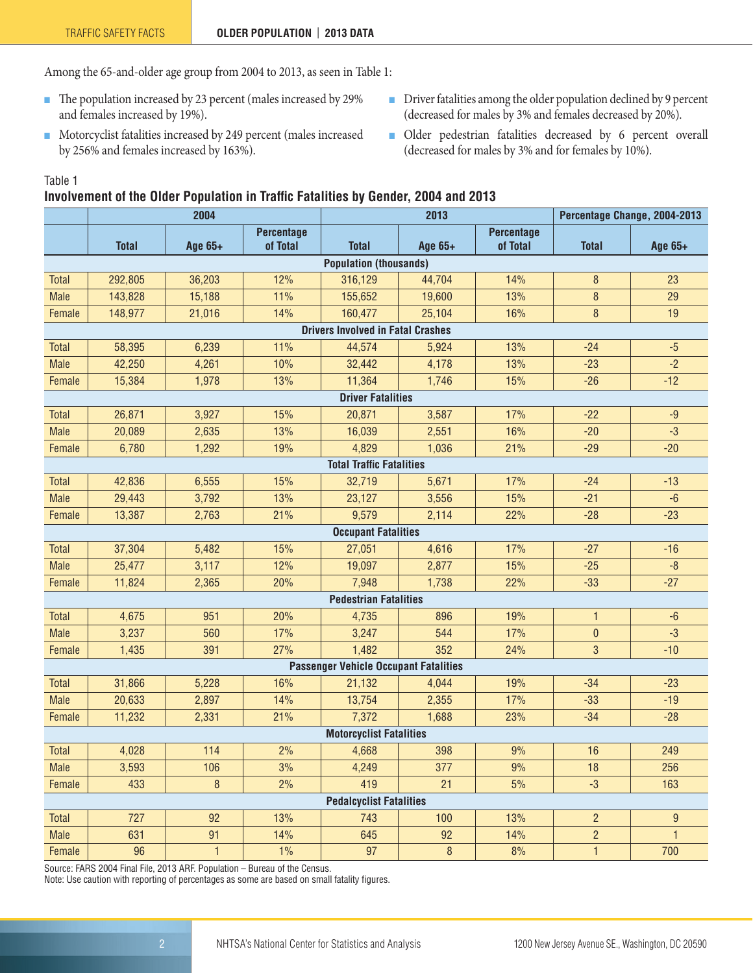Among the 65-and-older age group from 2004 to 2013, as seen in Table 1:

- The population increased by 23 percent (males increased by 29% and females increased by 19%).
- Motorcyclist fatalities increased by 249 percent (males increased by 256% and females increased by 163%).
- Driver fatalities among the older population declined by 9 percent (decreased for males by 3% and females decreased by 20%).
- Older pedestrian fatalities decreased by 6 percent overall (decreased for males by 3% and for females by 10%).

Table 1

#### **Involvement of the Older Population in Traffic Fatalities by Gender, 2004 and 2013**

|                               |              | 2004         |                               |                                              | 2013    |                               | Percentage Change, 2004-2013 |                  |  |  |
|-------------------------------|--------------|--------------|-------------------------------|----------------------------------------------|---------|-------------------------------|------------------------------|------------------|--|--|
|                               | <b>Total</b> | Age 65+      | <b>Percentage</b><br>of Total | <b>Total</b>                                 | Age 65+ | <b>Percentage</b><br>of Total | <b>Total</b>                 | Age 65+          |  |  |
| <b>Population (thousands)</b> |              |              |                               |                                              |         |                               |                              |                  |  |  |
| <b>Total</b>                  | 292,805      | 36,203       | 12%                           | 316,129                                      | 44,704  | 14%                           | 8                            | 23               |  |  |
| <b>Male</b>                   | 143,828      | 15,188       | 11%                           | 155,652                                      | 19,600  | 13%                           | 8                            | 29               |  |  |
| Female                        | 148,977      | 21,016       | 14%                           | 160,477                                      | 25,104  | 16%                           | 8                            | 19               |  |  |
|                               |              |              |                               | <b>Drivers Involved in Fatal Crashes</b>     |         |                               |                              |                  |  |  |
| <b>Total</b>                  | 58,395       | 6,239        | 11%                           | 44,574                                       | 5,924   | 13%                           | $-24$                        | $-5$             |  |  |
| <b>Male</b>                   | 42,250       | 4,261        | 10%                           | 32,442                                       | 4,178   | 13%                           | $-23$                        | $-2$             |  |  |
| Female                        | 15,384       | 1,978        | 13%                           | 11,364                                       | 1,746   | 15%                           | $-26$                        | $-12$            |  |  |
|                               |              |              |                               | <b>Driver Fatalities</b>                     |         |                               |                              |                  |  |  |
| <b>Total</b>                  | 26,871       | 3,927        | 15%                           | 20,871                                       | 3,587   | 17%                           | $-22$                        | $-9$             |  |  |
| <b>Male</b>                   | 20,089       | 2,635        | 13%                           | 16,039                                       | 2,551   | 16%                           | $-20$                        | $-3$             |  |  |
| Female                        | 6,780        | 1,292        | 19%                           | 4,829                                        | 1,036   | 21%                           | $-29$                        | $-20$            |  |  |
|                               |              |              |                               | <b>Total Traffic Fatalities</b>              |         |                               |                              |                  |  |  |
| Total                         | 42,836       | 6,555        | 15%                           | 32,719                                       | 5,671   | 17%                           | $-24$                        | $-13$            |  |  |
| <b>Male</b>                   | 29,443       | 3,792        | 13%                           | 23,127                                       | 3,556   | 15%                           | $-21$                        | $-6$             |  |  |
| Female                        | 13,387       | 2,763        | 21%                           | 9,579                                        | 2,114   | 22%                           | $-28$                        | $-23$            |  |  |
| <b>Occupant Fatalities</b>    |              |              |                               |                                              |         |                               |                              |                  |  |  |
| Total                         | 37,304       | 5,482        | 15%                           | 27,051                                       | 4,616   | 17%                           | $-27$                        | $-16$            |  |  |
| <b>Male</b>                   | 25,477       | 3,117        | 12%                           | 19,097                                       | 2,877   | 15%                           | $-25$                        | $-8$             |  |  |
| Female                        | 11,824       | 2,365        | 20%                           | 7,948                                        | 1,738   | 22%                           | $-33$                        | $-27$            |  |  |
|                               |              |              |                               | <b>Pedestrian Fatalities</b>                 |         |                               |                              |                  |  |  |
| Total                         | 4,675        | 951          | 20%                           | 4,735                                        | 896     | 19%                           | $\mathbf{1}$                 | $-6$             |  |  |
| <b>Male</b>                   | 3,237        | 560          | 17%                           | 3,247                                        | 544     | 17%                           | $\overline{0}$               | $-3$             |  |  |
| Female                        | 1,435        | 391          | 27%                           | 1,482                                        | 352     | 24%                           | 3                            | $-10$            |  |  |
|                               |              |              |                               | <b>Passenger Vehicle Occupant Fatalities</b> |         |                               |                              |                  |  |  |
| <b>Total</b>                  | 31,866       | 5,228        | 16%                           | 21,132                                       | 4,044   | 19%                           | $-34$                        | $-23$            |  |  |
| <b>Male</b>                   | 20,633       | 2,897        | 14%                           | 13,754                                       | 2,355   | 17%                           | $-33$                        | $-19$            |  |  |
| Female                        | 11,232       | 2,331        | 21%                           | 7,372                                        | 1,688   | 23%                           | $-34$                        | $-28$            |  |  |
|                               |              |              |                               | <b>Motorcyclist Fatalities</b>               |         |                               |                              |                  |  |  |
| Total                         | 4,028        | 114          | 2%                            | 4,668                                        | 398     | 9%                            | 16                           | 249              |  |  |
| <b>Male</b>                   | 3,593        | 106          | 3%                            | 4,249                                        | 377     | 9%                            | 18                           | 256              |  |  |
| Female                        | 433          | $\bf 8$      | 2%                            | 419                                          | 21      | 5%                            | $-3$                         | 163              |  |  |
|                               |              |              |                               | <b>Pedalcyclist Fatalities</b>               |         |                               |                              |                  |  |  |
| Total                         | 727          | 92           | 13%                           | 743                                          | 100     | 13%                           | $\overline{2}$               | $\boldsymbol{9}$ |  |  |
| <b>Male</b>                   | 631          | 91           | 14%                           | 645                                          | 92      | 14%                           | $\overline{c}$               | $\mathbf{1}$     |  |  |
| Female                        | 96           | $\mathbf{1}$ | 1%                            | 97                                           | $\, 8$  | 8%                            | $\mathbf{1}$                 | 700              |  |  |

Source: FARS 2004 Final File, 2013 ARF. Population – Bureau of the Census.

Note: Use caution with reporting of percentages as some are based on small fatality figures.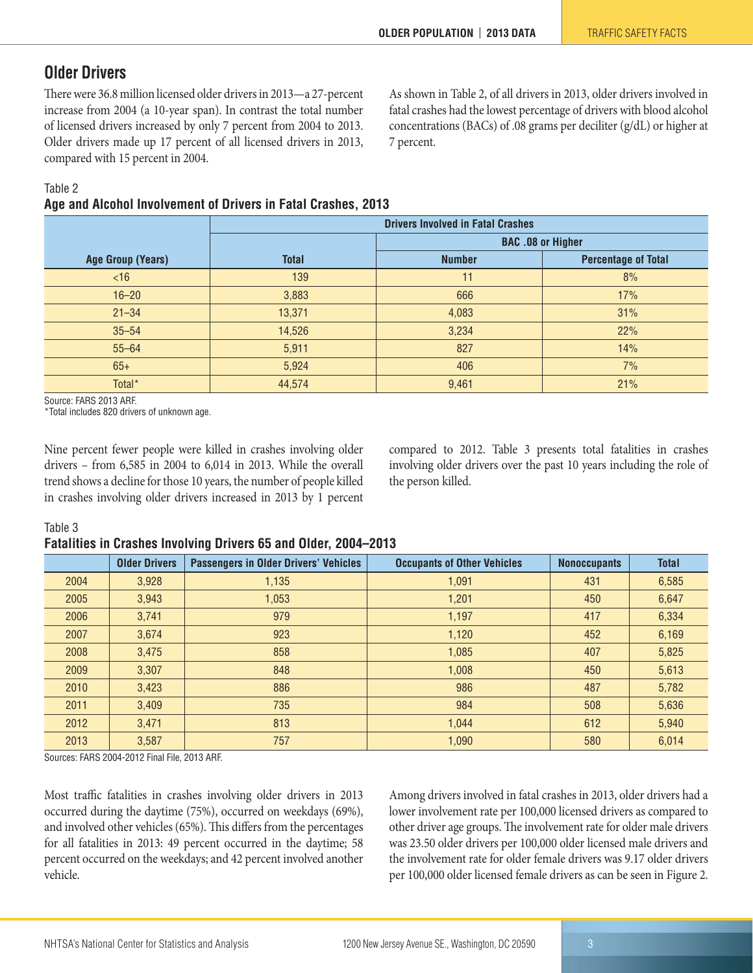#### <span id="page-2-0"></span>**Older Drivers**

There were 36.8 million licensed older drivers in 2013—a 27-percent increase from 2004 (a 10-year span). In contrast the total number of licensed drivers increased by only 7 percent from 2004 to 2013. Older drivers made up 17 percent of all licensed drivers in 2013, compared with 15 percent in 2004.

As shown in Table 2, of all drivers in 2013, older drivers involved in fatal crashes had the lowest percentage of drivers with blood alcohol concentrations (BACs) of .08 grams per deciliter (g/dL) or higher at 7 percent.

Table 2

#### **Age and Alcohol Involvement of Drivers in Fatal Crashes, 2013**

|                          | <b>Drivers Involved in Fatal Crashes</b> |                          |                            |  |  |  |  |  |  |
|--------------------------|------------------------------------------|--------------------------|----------------------------|--|--|--|--|--|--|
|                          |                                          | <b>BAC .08 or Higher</b> |                            |  |  |  |  |  |  |
| <b>Age Group (Years)</b> | <b>Total</b>                             | <b>Number</b>            | <b>Percentage of Total</b> |  |  |  |  |  |  |
| <16                      | 139                                      | 11                       | 8%                         |  |  |  |  |  |  |
| $16 - 20$                | 3,883                                    | 666                      | 17%                        |  |  |  |  |  |  |
| $21 - 34$                | 13,371                                   | 4,083                    | 31%                        |  |  |  |  |  |  |
| $35 - 54$                | 14,526                                   | 3,234                    | 22%                        |  |  |  |  |  |  |
| $55 - 64$                | 5,911                                    | 827                      | 14%                        |  |  |  |  |  |  |
| $65+$                    | 5,924                                    | 406                      | 7%                         |  |  |  |  |  |  |
| Total*                   | 44,574                                   | 9,461                    | 21%                        |  |  |  |  |  |  |

Source: FARS 2013 ARF.

\*Total includes 820 drivers of unknown age.

Nine percent fewer people were killed in crashes involving older drivers – from 6,585 in 2004 to 6,014 in 2013. While the overall trend shows a decline for those 10 years, the number of people killed in crashes involving older drivers increased in 2013 by 1 percent compared to 2012. Table 3 presents total fatalities in crashes involving older drivers over the past 10 years including the role of the person killed.

#### Table 3

#### **Fatalities in Crashes Involving Drivers 65 and Older, 2004–2013**

|      | <b>Older Drivers</b> | <b>Passengers in Older Drivers' Vehicles</b> | <b>Occupants of Other Vehicles</b> | <b>Nonoccupants</b> | <b>Total</b> |
|------|----------------------|----------------------------------------------|------------------------------------|---------------------|--------------|
| 2004 | 3,928                | 1,135                                        | 1,091                              | 431                 | 6,585        |
| 2005 | 3,943                | 1,053                                        | 1,201                              | 450                 | 6,647        |
| 2006 | 3,741                | 979                                          | 1,197                              | 417                 | 6,334        |
| 2007 | 3,674                | 923                                          | 1,120                              | 452                 | 6,169        |
| 2008 | 3,475                | 858                                          | 1,085                              | 407                 | 5,825        |
| 2009 | 3.307                | 848                                          | 1,008                              | 450                 | 5,613        |
| 2010 | 3,423                | 886                                          | 986                                | 487                 | 5,782        |
| 2011 | 3,409                | 735                                          | 984                                | 508                 | 5,636        |
| 2012 | 3,471                | 813                                          | 1.044                              | 612                 | 5,940        |
| 2013 | 3,587                | 757                                          | 1,090                              | 580                 | 6,014        |

Sources: FARS 2004-2012 Final File, 2013 ARF.

Most traffic fatalities in crashes involving older drivers in 2013 occurred during the daytime (75%), occurred on weekdays (69%), and involved other vehicles (65%). This differs from the percentages for all fatalities in 2013: 49 percent occurred in the daytime; 58 percent occurred on the weekdays; and 42 percent involved another vehicle.

Among drivers involved in fatal crashes in 2013, older drivers had a lower involvement rate per 100,000 licensed drivers as compared to other driver age groups. The involvement rate for older male drivers was 23.50 older drivers per 100,000 older licensed male drivers and the involvement rate for older female drivers was 9.17 older drivers per 100,000 older licensed female drivers as can be seen in Figure 2.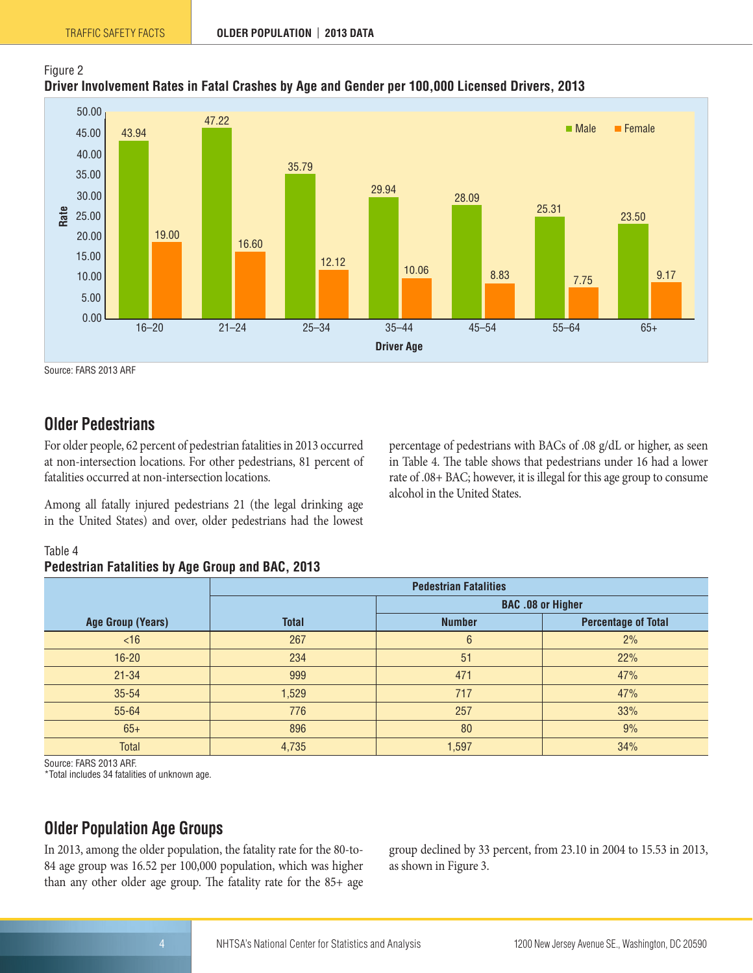

Source: FARS 2013 ARF

Figure 2

#### <span id="page-3-0"></span>**Older Pedestrians**

For older people, 62 percent of pedestrian fatalities in 2013 occurred at non-intersection locations. For other pedestrians, 81 percent of fatalities occurred at non-intersection locations.

Among all fatally injured pedestrians 21 (the legal drinking age in the United States) and over, older pedestrians had the lowest percentage of pedestrians with BACs of .08 g/dL or higher, as seen in Table 4. The table shows that pedestrians under 16 had a lower rate of .08+ BAC; however, it is illegal for this age group to consume alcohol in the United States.

#### Table 4

#### **Pedestrian Fatalities by Age Group and BAC, 2013**

|                          | <b>Pedestrian Fatalities</b> |                          |                            |  |  |  |  |  |  |
|--------------------------|------------------------------|--------------------------|----------------------------|--|--|--|--|--|--|
|                          |                              | <b>BAC .08 or Higher</b> |                            |  |  |  |  |  |  |
| <b>Age Group (Years)</b> | <b>Total</b>                 | <b>Number</b>            | <b>Percentage of Total</b> |  |  |  |  |  |  |
| <16                      | 267                          | 6                        | 2%                         |  |  |  |  |  |  |
| $16 - 20$                | 234                          | 51                       | 22%                        |  |  |  |  |  |  |
| $21 - 34$                | 999                          | 471                      | 47%                        |  |  |  |  |  |  |
| 35-54                    | 1,529                        | 717                      | 47%                        |  |  |  |  |  |  |
| 55-64                    | 776                          | 257                      | 33%                        |  |  |  |  |  |  |
| $65+$                    | 896                          | 80                       | 9%                         |  |  |  |  |  |  |
| <b>Total</b>             | 4,735                        | 1,597                    | 34%                        |  |  |  |  |  |  |

Source: FARS 2013 ARF.

\*Total includes 34 fatalities of unknown age.

#### <span id="page-3-1"></span>**Older Population Age Groups**

In 2013, among the older population, the fatality rate for the 80-to-84 age group was 16.52 per 100,000 population, which was higher than any other older age group. The fatality rate for the 85+ age

group declined by 33 percent, from 23.10 in 2004 to 15.53 in 2013, as shown in Figure 3.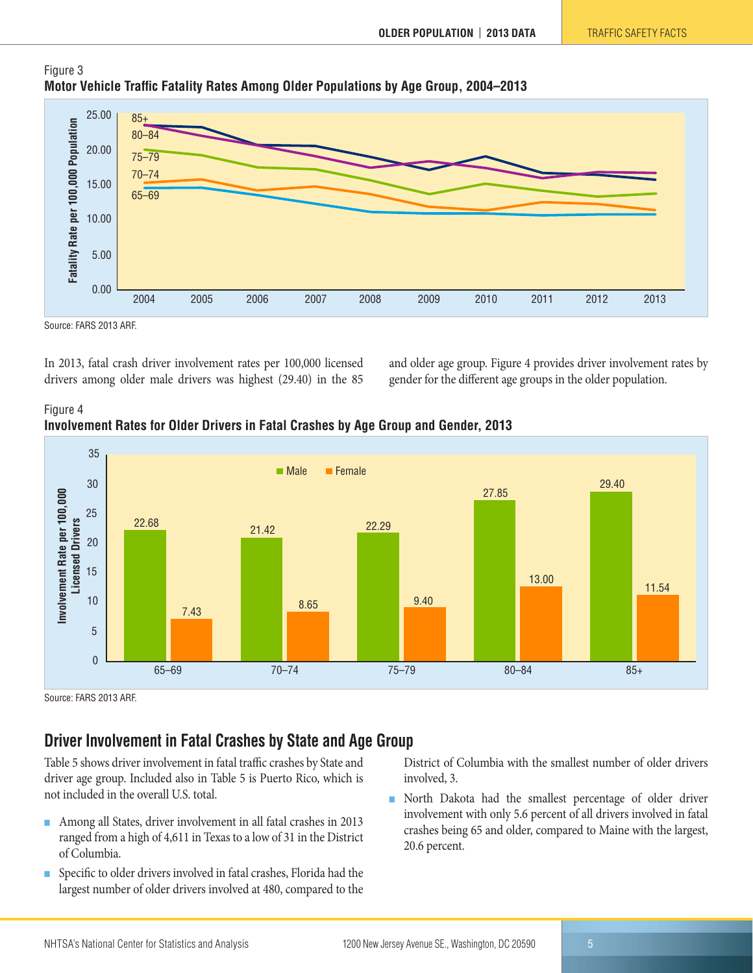

#### Figure 3 **Motor Vehicle Traffic Fatality Rates Among Older Populations by Age Group, 2004–2013**

Source: FARS 2013 ARF.

In 2013, fatal crash driver involvement rates per 100,000 licensed drivers among older male drivers was highest (29.40) in the 85 and older age group. Figure 4 provides driver involvement rates by gender for the different age groups in the older population.





Source: FARS 2013 ARF.

#### <span id="page-4-0"></span>**Driver Involvement in Fatal Crashes by State and Age Group**

Table 5 shows driver involvement in fatal traffic crashes by State and driver age group. Included also in Table 5 is Puerto Rico, which is not included in the overall U.S. total.

- Among all States, driver involvement in all fatal crashes in 2013 ranged from a high of 4,611 in Texas to a low of 31 in the District of Columbia.
- Specific to older drivers involved in fatal crashes, Florida had the largest number of older drivers involved at 480, compared to the

District of Columbia with the smallest number of older drivers involved, 3.

■ North Dakota had the smallest percentage of older driver involvement with only 5.6 percent of all drivers involved in fatal crashes being 65 and older, compared to Maine with the largest, 20.6 percent.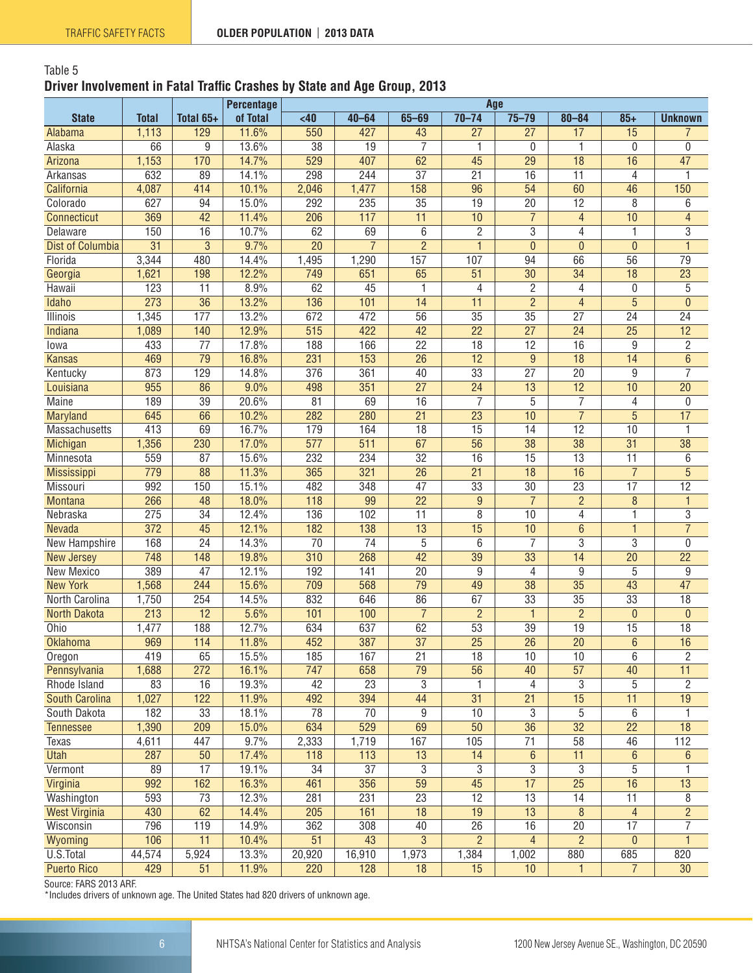#### Table 5 **Driver Involvement in Fatal Traffic Crashes by State and Age Group, 2013**

|                         |                  |                  | <b>Percentage</b> | Age              |                 |                 |                 |                 |                 |                 |                 |
|-------------------------|------------------|------------------|-------------------|------------------|-----------------|-----------------|-----------------|-----------------|-----------------|-----------------|-----------------|
| <b>State</b>            | <b>Total</b>     | Total 65+        | of Total          | <40              | $40 - 64$       | $65 - 69$       | $70 - 74$       | $75 - 79$       | $80 - 84$       | $85 +$          | <b>Unknown</b>  |
| Alabama                 | 1,113            | 129              | 11.6%             | 550              | 427             | 43              | $\overline{27}$ | $\overline{27}$ | 17              | $\overline{15}$ | $\overline{7}$  |
| Alaska                  | 66               | 9                | 13.6%             | $\overline{38}$  | $\overline{19}$ | $\overline{7}$  | 1               | $\mathbf{0}$    | 1               | 0               | 0               |
| Arizona                 | 1,153            | 170              | 14.7%             | 529              | 407             | 62              | 45              | 29              | 18              | 16              | 47              |
| Arkansas                | 632              | 89               | 14.1%             | 298              | 244             | $\overline{37}$ | $\overline{21}$ | 16              | $\overline{11}$ | 4               | 1               |
| California              | 4,087            | 414              | 10.1%             | 2,046            | 1,477           | 158             | 96              | 54              | 60              | 46              | 150             |
| Colorado                | 627              | 94               | 15.0%             | 292              | 235             | $\overline{35}$ | 19              | $\overline{20}$ | $\overline{12}$ | 8               | $6\phantom{a}$  |
| Connecticut             | 369              | $\overline{42}$  | 11.4%             | $\overline{206}$ | 117             | $\overline{11}$ | $\overline{10}$ | $\overline{7}$  | $\overline{4}$  | 10              | $\overline{4}$  |
| Delaware                | 150              | 16               | 10.7%             | 62               | 69              | 6               | $\mathbf{2}$    | $\overline{3}$  | 4               | 1               | $\overline{3}$  |
| <b>Dist of Columbia</b> | $\overline{31}$  | $\overline{3}$   | 9.7%              | $\overline{20}$  | $\overline{7}$  | $\overline{2}$  | $\mathbf{1}$    | $\overline{0}$  | $\overline{0}$  | $\mathbf{0}$    | $\overline{1}$  |
| Florida                 | 3,344            | 480              | 14.4%             | 1,495            | 1,290           | 157             | 107             | 94              | 66              | 56              | 79              |
| Georgia                 | 1,621            | 198              | 12.2%             | 749              | 651             | 65              | $\overline{51}$ | $\overline{30}$ | $\overline{34}$ | $\overline{18}$ | $\overline{23}$ |
| Hawaii                  | 123              | 11               | 8.9%              | 62               | 45              | 1               | $\overline{4}$  | $\overline{2}$  | 4               | 0               | 5               |
| Idaho                   | 273              | $\overline{36}$  | 13.2%             | 136              | 101             | 14              | 11              | $\overline{2}$  | $\overline{4}$  | $\overline{5}$  | $\overline{0}$  |
| <b>Illinois</b>         | 1,345            | 177              | 13.2%             | 672              | 472             | 56              | 35              | $\overline{35}$ | $\overline{27}$ | $\overline{24}$ | $\overline{24}$ |
| Indiana                 | 1,089            | 140              | 12.9%             | 515              | 422             | $\overline{42}$ | $\overline{22}$ | $\overline{27}$ | $\overline{24}$ | $\overline{25}$ | $\overline{12}$ |
| lowa                    | 433              | $\overline{77}$  | 17.8%             | 188              | 166             | $\overline{22}$ | 18              | 12              | 16              | 9               | 2               |
| <b>Kansas</b>           | 469              | $\overline{79}$  | 16.8%             | 231              | 153             | $\overline{26}$ | $\overline{12}$ | $\overline{9}$  | 18              | 14              | $\overline{6}$  |
| Kentucky                | 873              | 129              | 14.8%             | 376              | 361             | 40              | $\overline{33}$ | $\overline{27}$ | $\overline{20}$ | 9               | $\overline{7}$  |
| Louisiana               | 955              | 86               | 9.0%              | 498              | 351             | $\overline{27}$ | $\overline{24}$ | $\overline{13}$ | $\overline{12}$ | 10              | $\overline{20}$ |
| <b>Maine</b>            | 189              | $\overline{39}$  | 20.6%             | $\overline{81}$  | 69              | 16              | $\overline{7}$  | $\overline{5}$  | $\overline{7}$  | 4               | $\mathbf 0$     |
| Maryland                | 645              | 66               | 10.2%             | 282              | 280             | $\overline{21}$ | $\overline{23}$ | $\overline{10}$ | $\overline{7}$  | $\overline{5}$  | $\overline{17}$ |
| <b>Massachusetts</b>    | 413              | 69               | 16.7%             | 179              | 164             | $\overline{18}$ | $\overline{15}$ | $\overline{14}$ | $\overline{12}$ | 10              | 1               |
| Michigan                | 1,356            | 230              | 17.0%             | $\overline{577}$ | 511             | 67              | $\overline{56}$ | $\overline{38}$ | $\overline{38}$ | $\overline{31}$ | $\overline{38}$ |
| Minnesota               | 559              | 87               | 15.6%             | 232              | 234             | $\overline{32}$ | $\overline{16}$ | $\overline{15}$ | $\overline{13}$ | $\overline{11}$ | $6\phantom{1}6$ |
| Mississippi             | 779              | 88               | 11.3%             | 365              | 321             | $\overline{26}$ | $\overline{21}$ | $\overline{18}$ | $\overline{16}$ | $\overline{7}$  | 5               |
| Missouri                | 992              | 150              | 15.1%             | 482              | 348             | $\overline{47}$ | $\overline{33}$ | $\overline{30}$ | $\overline{23}$ | $\overline{17}$ | $\overline{12}$ |
| <b>Montana</b>          | 266              | 48               | 18.0%             | 118              | 99              | $\overline{22}$ | $\overline{9}$  | $\overline{7}$  | $\overline{2}$  | 8               | $\mathbf{1}$    |
| Nebraska                | 275              | $\overline{34}$  | 12.4%             | 136              | 102             | $\overline{11}$ | $\overline{8}$  | 10              | 4               | 1               | $\overline{3}$  |
| Nevada                  | $\overline{372}$ | 45               | 12.1%             | 182              | 138             | $\overline{13}$ | $\overline{15}$ | 10              | 6               | $\mathbf{1}$    | $\overline{7}$  |
| New Hampshire           | 168              | $\overline{24}$  | 14.3%             | $\overline{70}$  | $\overline{74}$ | $\overline{5}$  | 6               | 7               | 3               | 3               | $\mathbf 0$     |
| <b>New Jersey</b>       | 748              | 148              | 19.8%             | 310              | 268             | 42              | 39              | 33              | 14              | $\overline{20}$ | $\overline{22}$ |
| New Mexico              | 389              | $\overline{47}$  | 12.1%             | 192              | 141             | $\overline{20}$ | 9               | 4               | 9               | 5               | 9               |
| <b>New York</b>         | 1,568            | 244              | 15.6%             | 709              | 568             | $\overline{79}$ | $\overline{49}$ | $\overline{38}$ | $\overline{35}$ | $\overline{43}$ | $\overline{47}$ |
| North Carolina          | 1,750            | 254              | 14.5%             | 832              | 646             | 86              | 67              | $\overline{33}$ | $\overline{35}$ | $\overline{33}$ | $\overline{18}$ |
| <b>North Dakota</b>     | 213              | $\overline{12}$  | 5.6%              | 101              | 100             | $\overline{7}$  | $\overline{2}$  | $\mathbf{1}$    | $\overline{2}$  | $\mathbf 0$     | $\mathbf{0}$    |
| Ohio                    | 1,477            | 188              | 12.7%             | 634              | 637             | 62              | 53              | $\overline{39}$ | $\overline{19}$ | $\overline{15}$ | $\overline{18}$ |
| <b>Oklahoma</b>         | 969              | 114              | 11.8%             | 452              | 387             | $\overline{37}$ | $\overline{25}$ | $\overline{26}$ | $\overline{20}$ | $\overline{6}$  | $\overline{16}$ |
| Oregon                  | 419              | 65               | 15.5%             | 185              | 167             | $\overline{21}$ | 18              | 10              | 10              | 6               | 2               |
| Pennsylvania            | 1,688            | $\overline{272}$ | 16.1%             | 747              | 658             | $\overline{79}$ | $\overline{56}$ | $\overline{40}$ | $\overline{57}$ | 40              | $\overline{11}$ |
| Rhode Island            | 83               | 16               | 19.3%             | 42               | $\overline{23}$ | 3               |                 | 4               | 3               | 5               | $\overline{2}$  |
| South Carolina          | 1,027            | 122              | 11.9%             | 492              | 394             | 44              | 31              | $\overline{21}$ | 15              | 11              | 19              |
| South Dakota            | 182              | 33               | 18.1%             | 78               | 70              | 9               | 10              | 3               | 5               | 6               | 1               |
| <b>Tennessee</b>        | 1,390            | 209              | 15.0%             | 634              | 529             | 69              | 50              | 36              | $\overline{32}$ | $\overline{22}$ | 18              |
| Texas                   | 4,611            | 447              | 9.7%              | 2,333            | 1,719           | 167             | 105             | 71              | 58              | 46              | 112             |
| <b>Utah</b>             | 287              | 50               | 17.4%             | 118              | 113             | 13              | 14              | 6               | $\overline{11}$ | $\,6\,$         | $\,6\,$         |
| Vermont                 | 89               | $\overline{17}$  | 19.1%             | $\overline{34}$  | $\overline{37}$ | 3               | 3               | 3               | 3               | 5               | 1               |
| Virginia                | 992              | 162              | 16.3%             | 461              | 356             | $\overline{59}$ | $\overline{45}$ | $\overline{17}$ | $\overline{25}$ | 16              | 13              |
| Washington              | 593              | $\overline{73}$  | 12.3%             | 281              | 231             | $\overline{23}$ | $\overline{12}$ | $\overline{13}$ | $\overline{14}$ | $\overline{11}$ | 8               |
| <b>West Virginia</b>    | 430              | 62               | 14.4%             | 205              | 161             | 18              | 19              | 13              | 8               | 4               | $\overline{2}$  |
| Wisconsin               | 796              | 119              | 14.9%             | 362              | 308             | 40              | $\overline{26}$ | 16              | $\overline{20}$ | $\overline{17}$ | $\overline{7}$  |
| Wyoming                 | 106              | $\overline{11}$  | 10.4%             | $\overline{51}$  | 43              | $\overline{3}$  | $\overline{2}$  | $\overline{4}$  | $\overline{2}$  | $\mathbf 0$     | 1               |
| U.S.Total               | 44,574           | 5,924            | 13.3%             | 20,920           | 16,910          | 1,973           | 1,384           | 1,002           | 880             | 685             | 820             |
| <b>Puerto Rico</b>      | 429              | 51               | 11.9%             | 220              | 128             | 18              | 15              | 10              | 1               | $\overline{7}$  | 30              |

Source: FARS 2013 ARF.

\*Includes drivers of unknown age. The United States had 820 drivers of unknown age.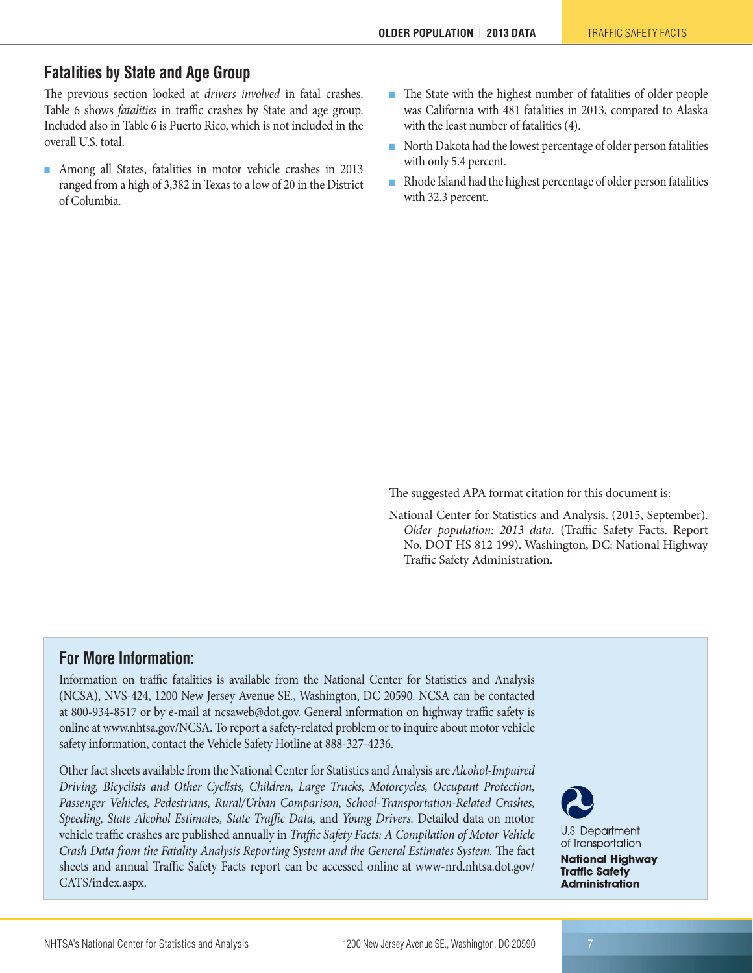#### <span id="page-6-0"></span>**Fatalities by State and Age Group**

The previous section looked at *drivers involved* in fatal crashes. Table 6 shows *fatalities* in traffic crashes by State and age group. Included also in Table 6 is Puerto Rico, which is not included in the overall U.S. total.

- Among all States, fatalities in motor vehicle crashes in 2013 ranged from a high of 3,382 in Texas to a low of 20 in the District of Columbia.
- The State with the highest number of fatalities of older people was California with 481 fatalities in 2013, compared to Alaska with the least number of fatalities (4).
- North Dakota had the lowest percentage of older person fatalities with only 5.4 percent.
- Rhode Island had the highest percentage of older person fatalities with 32.3 percent.

The suggested APA format citation for this document is:

National Center for Statistics and Analysis. (2015, September). *Older population: 2013 data.* (Traffic Safety Facts. Report No. DOT HS 812 199). Washington, DC: National Highway Traffic Safety Administration.

#### **For More Information:**

Information on traffic fatalities is available from the National Center for Statistics and Analysis (NCSA), NVS-424, 1200 New Jersey Avenue SE., Washington, DC 20590. NCSA can be contacted at 800-934-8517 or by e-mail at [ncsaweb@dot.gov](mailto:ncsaweb%40dot.gov?subject=Concerning%20School-Transportation-Related%20Crashes%20data%20report). General information on highway traffic safety is online at [www.nhtsa.gov/NCSA.](http://www.nhtsa.gov/NCSA) To report a safety-related problem or to inquire about motor vehicle safety information, contact the Vehicle Safety Hotline at 888-327-4236.

Other fact sheets available from the National Center for Statistics and Analysis are *Alcohol-Impaired Driving, Bicyclists and Other Cyclists, Children, Large Trucks, Motorcycles, Occupant Protection, Passenger Vehicles, Pedestrians, Rural/Urban Comparison, School-Transportation-Related Crashes, Speeding, State Alcohol Estimates, State Traffic Data,* and *Young Drivers.* Detailed data on motor vehicle traffic crashes are published annually in *Traffic Safety Facts: A Compilation of Motor Vehicle Crash Data from the Fatality Analysis Reporting System and the General Estimates System.* The fact sheets and annual Traffic Safety Facts report can be accessed online at [www-nrd.nhtsa.dot.gov/](http://www-nrd.nhtsa.dot.gov/CATS/index.aspx) [CATS/index.aspx](http://www-nrd.nhtsa.dot.gov/CATS/index.aspx).



**U.S. Department** of Transportation

**National Highway Traffic Safety Administration**